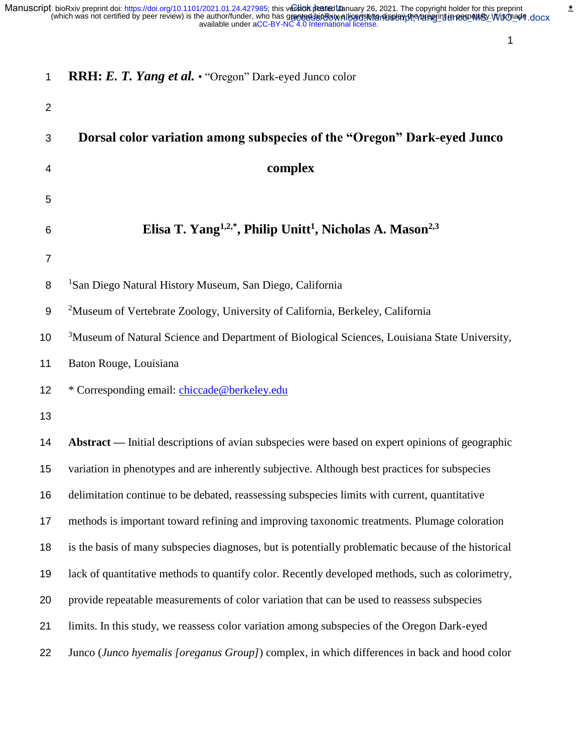$\overset{\bullet}{=}$ 

| 1                | <b>RRH: E. T. Yang et al. •</b> "Oregon" Dark-eyed Junco color                                            |
|------------------|-----------------------------------------------------------------------------------------------------------|
| $\overline{2}$   |                                                                                                           |
| 3                | Dorsal color variation among subspecies of the "Oregon" Dark-eyed Junco                                   |
| 4                | complex                                                                                                   |
| 5                |                                                                                                           |
| 6                | Elisa T. Yang <sup>1,2,*</sup> , Philip Unitt <sup>1</sup> , Nicholas A. Mason <sup>2,3</sup>             |
| $\overline{7}$   |                                                                                                           |
| 8                | <sup>1</sup> San Diego Natural History Museum, San Diego, California                                      |
| $\boldsymbol{9}$ | <sup>2</sup> Museum of Vertebrate Zoology, University of California, Berkeley, California                 |
| 10               | <sup>3</sup> Museum of Natural Science and Department of Biological Sciences, Louisiana State University, |
| 11               | Baton Rouge, Louisiana                                                                                    |
| 12               | * Corresponding email: chiccade@berkeley.edu                                                              |
| 13               |                                                                                                           |
| 14               | Abstract — Initial descriptions of avian subspecies were based on expert opinions of geographic           |
| 15               | variation in phenotypes and are inherently subjective. Although best practices for subspecies             |
| 16               | delimitation continue to be debated, reassessing subspecies limits with current, quantitative             |
| 17               | methods is important toward refining and improving taxonomic treatments. Plumage coloration               |
| 18               | is the basis of many subspecies diagnoses, but is potentially problematic because of the historical       |
| 19               | lack of quantitative methods to quantify color. Recently developed methods, such as colorimetry,          |
| 20               | provide repeatable measurements of color variation that can be used to reassess subspecies                |
| 21               | limits. In this study, we reassess color variation among subspecies of the Oregon Dark-eyed               |
| 22               | Junco (Junco hyemalis [oreganus Group]) complex, in which differences in back and hood color              |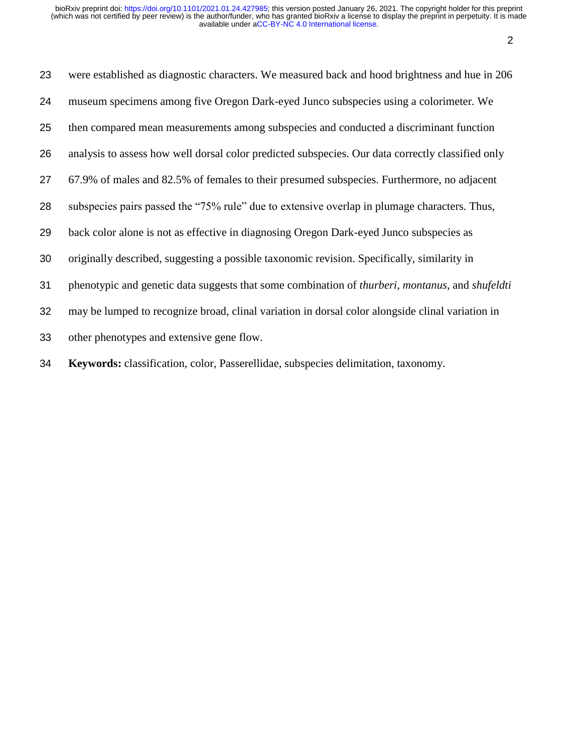| 23 | were established as diagnostic characters. We measured back and hood brightness and hue in 206                         |
|----|------------------------------------------------------------------------------------------------------------------------|
| 24 | museum specimens among five Oregon Dark-eyed Junco subspecies using a colorimeter. We                                  |
| 25 | then compared mean measurements among subspecies and conducted a discriminant function                                 |
| 26 | analysis to assess how well dorsal color predicted subspecies. Our data correctly classified only                      |
| 27 | 67.9% of males and 82.5% of females to their presumed subspecies. Furthermore, no adjacent                             |
| 28 | subspecies pairs passed the "75% rule" due to extensive overlap in plumage characters. Thus,                           |
| 29 | back color alone is not as effective in diagnosing Oregon Dark-eyed Junco subspecies as                                |
| 30 | originally described, suggesting a possible taxonomic revision. Specifically, similarity in                            |
| 31 | phenotypic and genetic data suggests that some combination of <i>thurberi</i> , <i>montanus</i> , and <i>shufeldti</i> |
| 32 | may be lumped to recognize broad, clinal variation in dorsal color alongside clinal variation in                       |
| 33 | other phenotypes and extensive gene flow.                                                                              |
| 34 | Keywords: classification, color, Passerellidae, subspecies delimitation, taxonomy.                                     |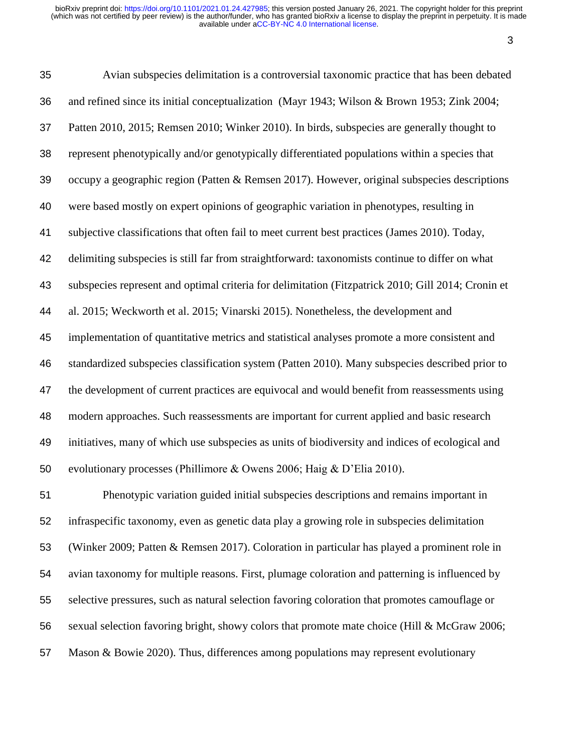| 35 | Avian subspecies delimitation is a controversial taxonomic practice that has been debated          |
|----|----------------------------------------------------------------------------------------------------|
| 36 | and refined since its initial conceptualization (Mayr 1943; Wilson & Brown 1953; Zink 2004;        |
| 37 | Patten 2010, 2015; Remsen 2010; Winker 2010). In birds, subspecies are generally thought to        |
| 38 | represent phenotypically and/or genotypically differentiated populations within a species that     |
| 39 | occupy a geographic region (Patten & Remsen 2017). However, original subspecies descriptions       |
| 40 | were based mostly on expert opinions of geographic variation in phenotypes, resulting in           |
| 41 | subjective classifications that often fail to meet current best practices (James 2010). Today,     |
| 42 | delimiting subspecies is still far from straightforward: taxonomists continue to differ on what    |
| 43 | subspecies represent and optimal criteria for delimitation (Fitzpatrick 2010; Gill 2014; Cronin et |
| 44 | al. 2015; Weckworth et al. 2015; Vinarski 2015). Nonetheless, the development and                  |
| 45 | implementation of quantitative metrics and statistical analyses promote a more consistent and      |
| 46 | standardized subspecies classification system (Patten 2010). Many subspecies described prior to    |
| 47 | the development of current practices are equivocal and would benefit from reassessments using      |
| 48 | modern approaches. Such reassessments are important for current applied and basic research         |
| 49 | initiatives, many of which use subspecies as units of biodiversity and indices of ecological and   |
| 50 | evolutionary processes (Phillimore & Owens 2006; Haig & D'Elia 2010).                              |
| 51 | Phenotypic variation guided initial subspecies descriptions and remains important in               |
| 52 | infraspecific taxonomy, even as genetic data play a growing role in subspecies delimitation        |
| 53 | (Winker 2009; Patten & Remsen 2017). Coloration in particular has played a prominent role in       |
| 54 | avian taxonomy for multiple reasons. First, plumage coloration and patterning is influenced by     |
| 55 | selective pressures, such as natural selection favoring coloration that promotes camouflage or     |
| 56 | sexual selection favoring bright, showy colors that promote mate choice (Hill & McGraw 2006;       |
| 57 | Mason & Bowie 2020). Thus, differences among populations may represent evolutionary                |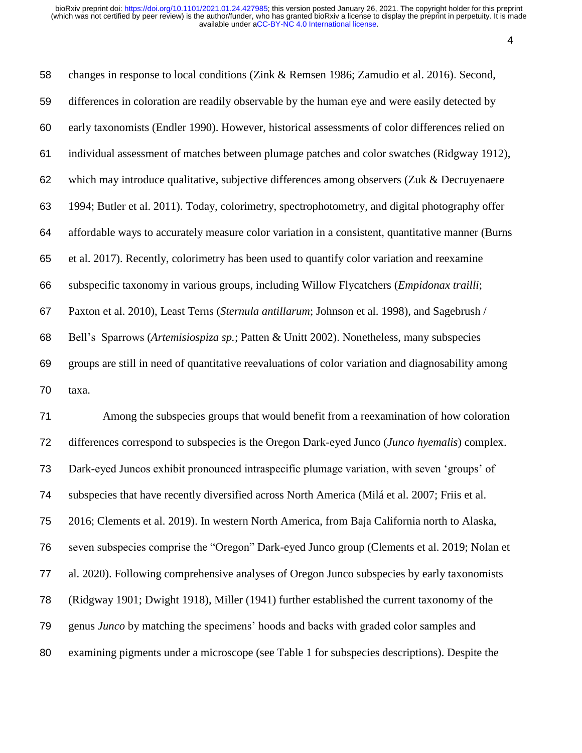changes in response to local conditions (Zink & Remsen 1986; Zamudio et al. 2016). Second, differences in coloration are readily observable by the human eye and were easily detected by early taxonomists (Endler 1990). However, historical assessments of color differences relied on individual assessment of matches between plumage patches and color swatches (Ridgway 1912), which may introduce qualitative, subjective differences among observers (Zuk & Decruyenaere 1994; Butler et al. 2011). Today, colorimetry, spectrophotometry, and digital photography offer affordable ways to accurately measure color variation in a consistent, quantitative manner (Burns et al. 2017). Recently, colorimetry has been used to quantify color variation and reexamine subspecific taxonomy in various groups, including Willow Flycatchers (*Empidonax trailli*; Paxton et al. 2010), Least Terns (*Sternula antillarum*; Johnson et al. 1998), and Sagebrush / Bell's Sparrows (*Artemisiospiza sp.*; Patten & Unitt 2002). Nonetheless, many subspecies groups are still in need of quantitative reevaluations of color variation and diagnosability among taxa.

 Among the subspecies groups that would benefit from a reexamination of how coloration differences correspond to subspecies is the Oregon Dark-eyed Junco (*Junco hyemalis*) complex. Dark-eyed Juncos exhibit pronounced intraspecific plumage variation, with seven 'groups' of subspecies that have recently diversified across North America (Milá et al. 2007; Friis et al. 2016; Clements et al. 2019). In western North America, from Baja California north to Alaska, seven subspecies comprise the "Oregon" Dark-eyed Junco group (Clements et al. 2019; Nolan et al. 2020). Following comprehensive analyses of Oregon Junco subspecies by early taxonomists (Ridgway 1901; Dwight 1918), Miller (1941) further established the current taxonomy of the genus *Junco* by matching the specimens' hoods and backs with graded color samples and examining pigments under a microscope (see Table 1 for subspecies descriptions). Despite the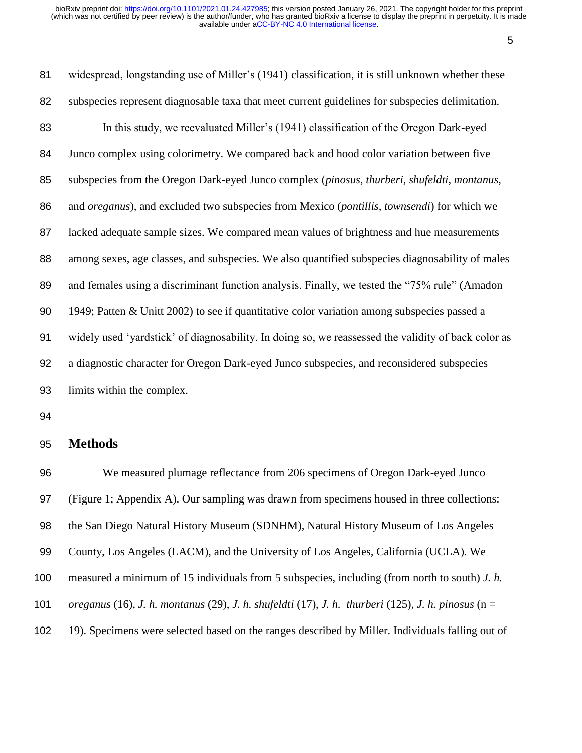widespread, longstanding use of Miller's (1941) classification, it is still unknown whether these subspecies represent diagnosable taxa that meet current guidelines for subspecies delimitation. In this study, we reevaluated Miller's (1941) classification of the Oregon Dark-eyed Junco complex using colorimetry. We compared back and hood color variation between five subspecies from the Oregon Dark-eyed Junco complex (*pinosus*, *thurberi*, *shufeldti*, *montanus*, and *oreganus*), and excluded two subspecies from Mexico (*pontillis*, *townsendi*) for which we lacked adequate sample sizes. We compared mean values of brightness and hue measurements among sexes, age classes, and subspecies. We also quantified subspecies diagnosability of males and females using a discriminant function analysis. Finally, we tested the "75% rule" (Amadon 1949; Patten & Unitt 2002) to see if quantitative color variation among subspecies passed a widely used 'yardstick' of diagnosability. In doing so, we reassessed the validity of back color as a diagnostic character for Oregon Dark-eyed Junco subspecies, and reconsidered subspecies limits within the complex.

#### **Methods**

 We measured plumage reflectance from 206 specimens of Oregon Dark-eyed Junco (Figure 1; Appendix A). Our sampling was drawn from specimens housed in three collections: the San Diego Natural History Museum (SDNHM), Natural History Museum of Los Angeles County, Los Angeles (LACM), and the University of Los Angeles, California (UCLA). We measured a minimum of 15 individuals from 5 subspecies, including (from north to south) *J. h. oreganus* (16), *J. h. montanus* (29), *J. h. shufeldti* (17), *J. h. thurberi* (125), *J. h. pinosus* (n = 19). Specimens were selected based on the ranges described by Miller. Individuals falling out of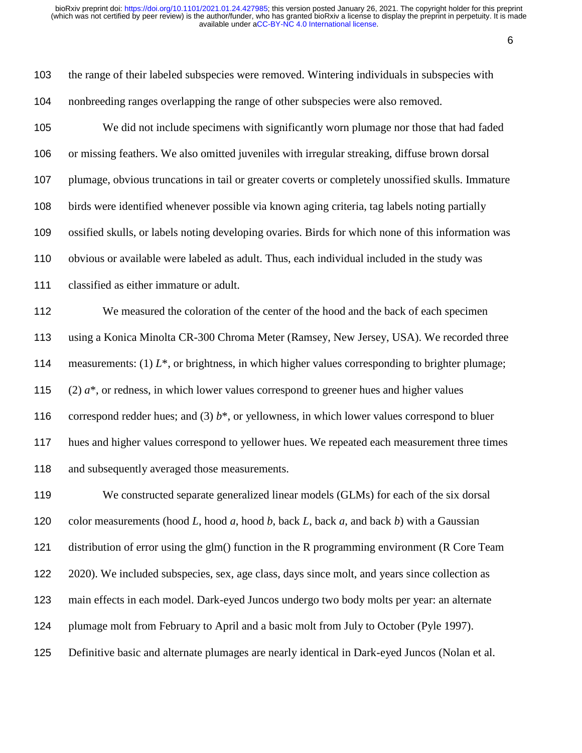| 103 | the range of their labeled subspecies were removed. Wintering individuals in subspecies with        |
|-----|-----------------------------------------------------------------------------------------------------|
| 104 | nonbreeding ranges overlapping the range of other subspecies were also removed.                     |
| 105 | We did not include specimens with significantly worn plumage nor those that had faded               |
| 106 | or missing feathers. We also omitted juveniles with irregular streaking, diffuse brown dorsal       |
| 107 | plumage, obvious truncations in tail or greater coverts or completely unossified skulls. Immature   |
| 108 | birds were identified whenever possible via known aging criteria, tag labels noting partially       |
| 109 | ossified skulls, or labels noting developing ovaries. Birds for which none of this information was  |
| 110 | obvious or available were labeled as adult. Thus, each individual included in the study was         |
| 111 | classified as either immature or adult.                                                             |
| 112 | We measured the coloration of the center of the hood and the back of each specimen                  |
| 113 | using a Konica Minolta CR-300 Chroma Meter (Ramsey, New Jersey, USA). We recorded three             |
| 114 | measurements: (1) $L^*$ , or brightness, in which higher values corresponding to brighter plumage;  |
| 115 | $(2)$ $a^*$ , or redness, in which lower values correspond to greener hues and higher values        |
| 116 | correspond redder hues; and (3) $b^*$ , or yellowness, in which lower values correspond to bluer    |
| 117 | hues and higher values correspond to yellower hues. We repeated each measurement three times        |
| 118 | and subsequently averaged those measurements.                                                       |
| 119 | We constructed separate generalized linear models (GLMs) for each of the six dorsal                 |
| 120 | color measurements (hood L, hood $a$ , hood $b$ , back L, back $a$ , and back $b$ ) with a Gaussian |
| 121 | distribution of error using the glm() function in the R programming environment (R Core Team        |
| 122 | 2020). We included subspecies, sex, age class, days since molt, and years since collection as       |
| 123 | main effects in each model. Dark-eyed Juncos undergo two body molts per year: an alternate          |
| 124 | plumage molt from February to April and a basic molt from July to October (Pyle 1997).              |
| 125 | Definitive basic and alternate plumages are nearly identical in Dark-eyed Juncos (Nolan et al.      |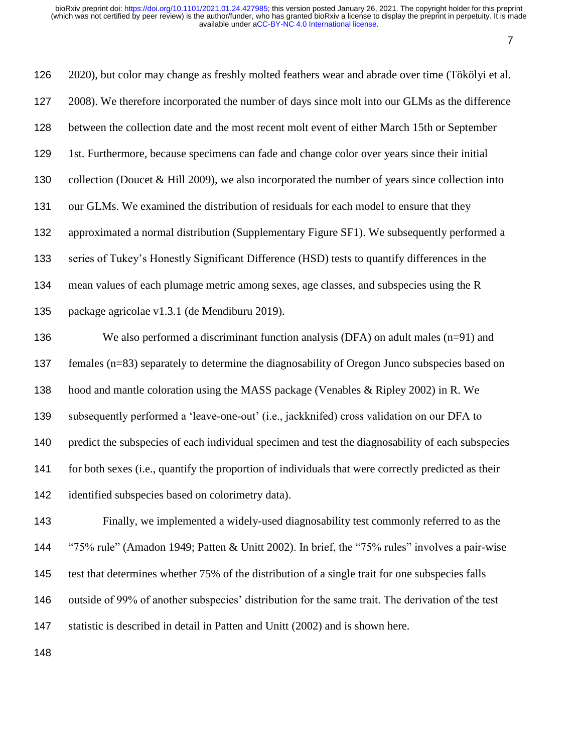| 126 | 2020), but color may change as freshly molted feathers wear and abrade over time (Tökölyi et al.    |
|-----|-----------------------------------------------------------------------------------------------------|
| 127 | 2008). We therefore incorporated the number of days since molt into our GLMs as the difference      |
| 128 | between the collection date and the most recent molt event of either March 15th or September        |
| 129 | 1st. Furthermore, because specimens can fade and change color over years since their initial        |
| 130 | collection (Doucet $&$ Hill 2009), we also incorporated the number of years since collection into   |
| 131 | our GLMs. We examined the distribution of residuals for each model to ensure that they              |
| 132 | approximated a normal distribution (Supplementary Figure SF1). We subsequently performed a          |
| 133 | series of Tukey's Honestly Significant Difference (HSD) tests to quantify differences in the        |
| 134 | mean values of each plumage metric among sexes, age classes, and subspecies using the R             |
| 135 | package agricolae v1.3.1 (de Mendiburu 2019).                                                       |
| 136 | We also performed a discriminant function analysis (DFA) on adult males $(n=91)$ and                |
| 137 | females (n=83) separately to determine the diagnosability of Oregon Junco subspecies based on       |
| 138 | hood and mantle coloration using the MASS package (Venables & Ripley 2002) in R. We                 |
| 139 | subsequently performed a 'leave-one-out' (i.e., jackknifed) cross validation on our DFA to          |
| 140 | predict the subspecies of each individual specimen and test the diagnosability of each subspecies   |
| 141 | for both sexes (i.e., quantify the proportion of individuals that were correctly predicted as their |
| 142 | identified subspecies based on colorimetry data).                                                   |
| 143 | Finally, we implemented a widely-used diagnosability test commonly referred to as the               |
| 144 | "75% rule" (Amadon 1949; Patten & Unitt 2002). In brief, the "75% rules" involves a pair-wise       |
| 145 | test that determines whether 75% of the distribution of a single trait for one subspecies falls     |
| 146 | outside of 99% of another subspecies' distribution for the same trait. The derivation of the test   |
| 147 | statistic is described in detail in Patten and Unitt (2002) and is shown here.                      |
|     |                                                                                                     |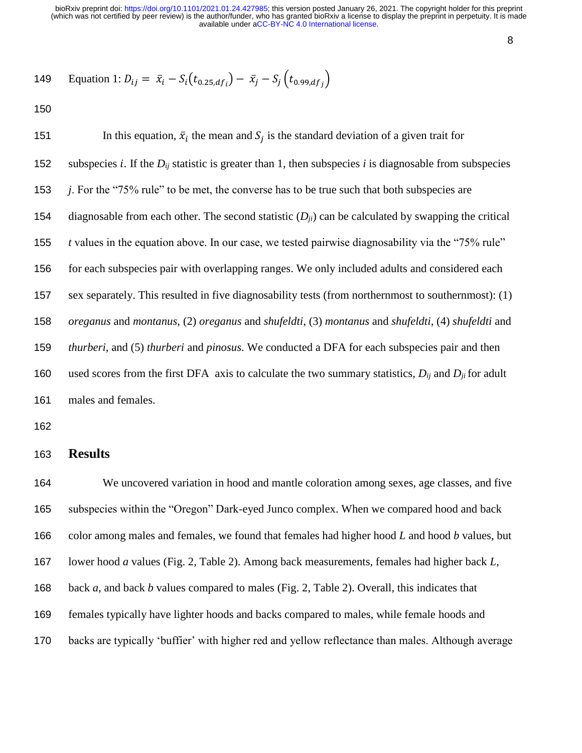149 Equation 1: 
$$
D_{ij} = \bar{x}_i - S_i(t_{0.25, df_i}) - \bar{x}_j - S_j(t_{0.99, df_j})
$$

151 In this equation,  $\bar{x}_i$  the mean and  $S_j$  is the standard deviation of a given trait for 152 subspecies *i*. If the  $D_{ij}$  statistic is greater than 1, then subspecies *i* is diagnosable from subspecies *j*. For the "75% rule" to be met, the converse has to be true such that both subspecies are 154 diagnosable from each other. The second statistic  $(D_{ii})$  can be calculated by swapping the critical *t* values in the equation above. In our case, we tested pairwise diagnosability via the "75% rule" for each subspecies pair with overlapping ranges. We only included adults and considered each sex separately. This resulted in five diagnosability tests (from northernmost to southernmost): (1) *oreganus* and *montanus*, (2) *oreganus* and *shufeldti*, (3) *montanus* and *shufeldti*, (4) *shufeldti* and *thurberi*, and (5) *thurberi* and *pinosus*. We conducted a DFA for each subspecies pair and then used scores from the first DFA axis to calculate the two summary statistics, *Dij* and *Dji* for adult males and females.

#### **Results**

 We uncovered variation in hood and mantle coloration among sexes, age classes, and five subspecies within the "Oregon" Dark-eyed Junco complex. When we compared hood and back color among males and females, we found that females had higher hood *L* and hood *b* values, but lower hood *a* values (Fig. 2, Table 2). Among back measurements, females had higher back *L*, back *a*, and back *b* values compared to males (Fig. 2, Table 2). Overall, this indicates that females typically have lighter hoods and backs compared to males, while female hoods and backs are typically 'buffier' with higher red and yellow reflectance than males. Although average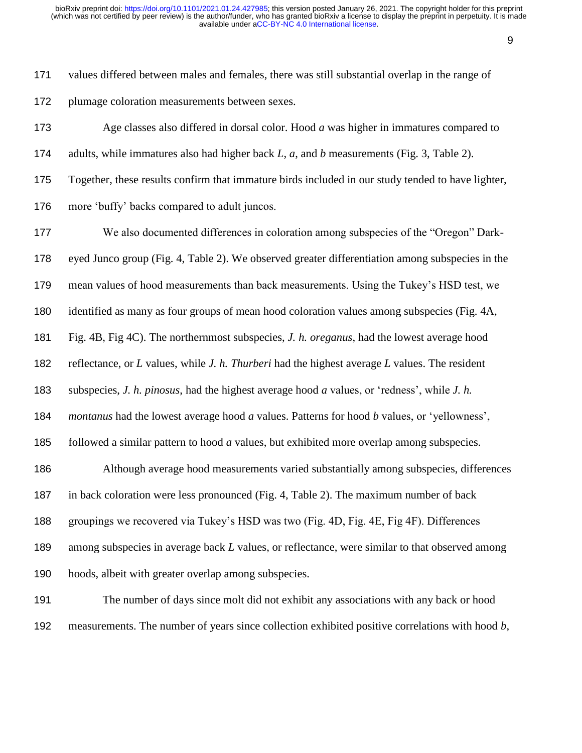values differed between males and females, there was still substantial overlap in the range of plumage coloration measurements between sexes.

adults, while immatures also had higher back *L*, *a*, and *b* measurements (Fig. 3, Table 2).

Age classes also differed in dorsal color. Hood *a* was higher in immatures compared to

Together, these results confirm that immature birds included in our study tended to have lighter,

more 'buffy' backs compared to adult juncos.

We also documented differences in coloration among subspecies of the "Oregon" Dark-

eyed Junco group (Fig. 4, Table 2). We observed greater differentiation among subspecies in the

mean values of hood measurements than back measurements. Using the Tukey's HSD test, we

identified as many as four groups of mean hood coloration values among subspecies (Fig. 4A,

Fig. 4B, Fig 4C). The northernmost subspecies, *J. h. oreganus*, had the lowest average hood

reflectance, or *L* values, while *J. h. Thurberi* had the highest average *L* values. The resident

subspecies, *J. h. pinosus*, had the highest average hood *a* values, or 'redness', while *J. h.* 

*montanus* had the lowest average hood *a* values. Patterns for hood *b* values, or 'yellowness',

followed a similar pattern to hood *a* values, but exhibited more overlap among subspecies.

 Although average hood measurements varied substantially among subspecies, differences in back coloration were less pronounced (Fig. 4, Table 2). The maximum number of back groupings we recovered via Tukey's HSD was two (Fig. 4D, Fig. 4E, Fig 4F). Differences

among subspecies in average back *L* values, or reflectance, were similar to that observed among

hoods, albeit with greater overlap among subspecies.

 The number of days since molt did not exhibit any associations with any back or hood measurements. The number of years since collection exhibited positive correlations with hood *b*,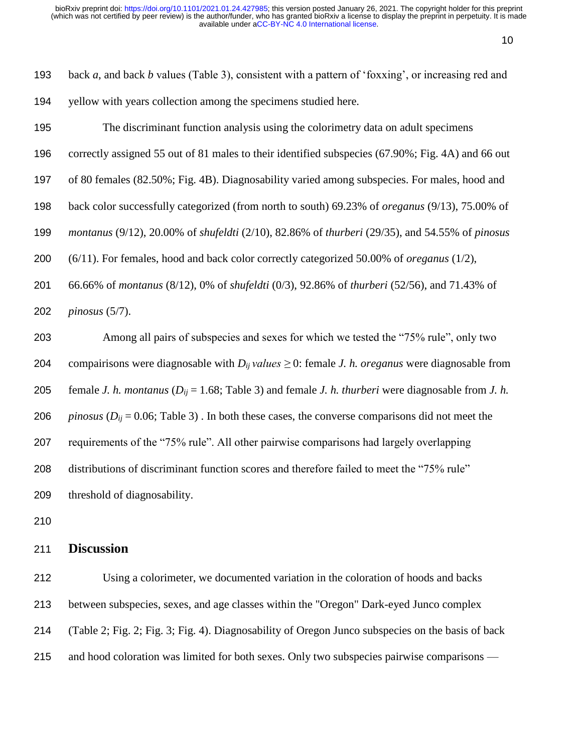| 193 | back $a$ , and back $b$ values (Table 3), consistent with a pattern of 'foxxing', or increasing red and                      |
|-----|------------------------------------------------------------------------------------------------------------------------------|
| 194 | yellow with years collection among the specimens studied here.                                                               |
| 195 | The discriminant function analysis using the colorimetry data on adult specimens                                             |
| 196 | correctly assigned 55 out of 81 males to their identified subspecies (67.90%; Fig. 4A) and 66 out                            |
| 197 | of 80 females (82.50%; Fig. 4B). Diagnosability varied among subspecies. For males, hood and                                 |
| 198 | back color successfully categorized (from north to south) 69.23% of <i>oreganus</i> (9/13), 75.00% of                        |
| 199 | montanus (9/12), 20.00% of shufeldti (2/10), 82.86% of thurberi (29/35), and 54.55% of pinosus                               |
| 200 | $(6/11)$ . For females, hood and back color correctly categorized 50.00% of <i>oreganus</i> (1/2),                           |
| 201 | 66.66% of montanus (8/12), 0% of shufeldti (0/3), 92.86% of thurberi (52/56), and 71.43% of                                  |
| 202 | pinosus $(5/7)$ .                                                                                                            |
| 203 | Among all pairs of subspecies and sexes for which we tested the "75% rule", only two                                         |
| 204 | compairisons were diagnosable with $D_{ij}$ values $\geq 0$ : female J. h. oreganus were diagnosable from                    |
| 205 | female <i>J. h. montanus</i> ( $D_{ij}$ = 1.68; Table 3) and female <i>J. h. thurberi</i> were diagnosable from <i>J. h.</i> |
| 206 | <i>pinosus</i> ( $D_{ij}$ = 0.06; Table 3). In both these cases, the converse comparisons did not meet the                   |
| 207 | requirements of the "75% rule". All other pairwise comparisons had largely overlapping                                       |
| 208 | distributions of discriminant function scores and therefore failed to meet the "75% rule"                                    |
| 209 | threshold of diagnosability.                                                                                                 |
| 210 |                                                                                                                              |

### **Discussion**

 Using a colorimeter, we documented variation in the coloration of hoods and backs between subspecies, sexes, and age classes within the "Oregon" Dark-eyed Junco complex (Table 2; Fig. 2; Fig. 3; Fig. 4). Diagnosability of Oregon Junco subspecies on the basis of back 215 and hood coloration was limited for both sexes. Only two subspecies pairwise comparisons —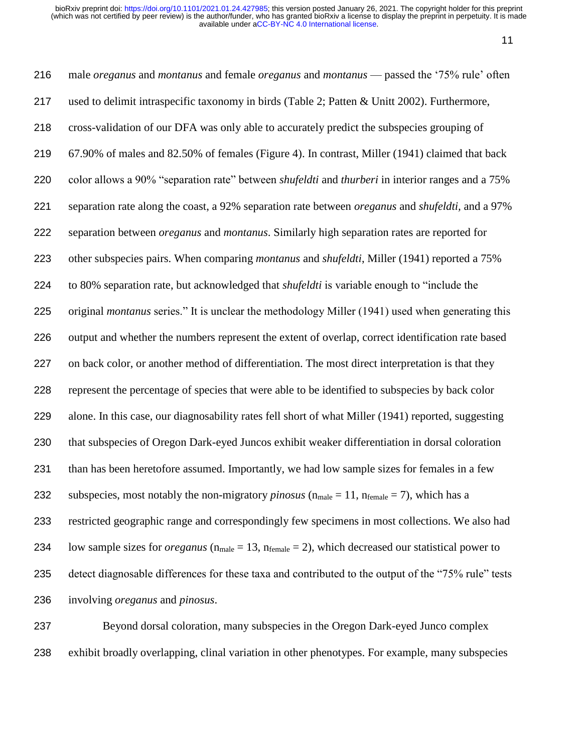male *oreganus* and *montanus* and female *oreganus* and *montanus* — passed the '75% rule' often used to delimit intraspecific taxonomy in birds (Table 2; Patten & Unitt 2002). Furthermore, cross-validation of our DFA was only able to accurately predict the subspecies grouping of 67.90% of males and 82.50% of females (Figure 4). In contrast, Miller (1941) claimed that back color allows a 90% "separation rate" between *shufeldti* and *thurberi* in interior ranges and a 75% separation rate along the coast, a 92% separation rate between *oreganus* and *shufeldti,* and a 97% separation between *oreganus* and *montanus*. Similarly high separation rates are reported for other subspecies pairs. When comparing *montanus* and *shufeldti*, Miller (1941) reported a 75% to 80% separation rate, but acknowledged that *shufeldti* is variable enough to "include the original *montanus* series." It is unclear the methodology Miller (1941) used when generating this output and whether the numbers represent the extent of overlap, correct identification rate based 227 on back color, or another method of differentiation. The most direct interpretation is that they represent the percentage of species that were able to be identified to subspecies by back color alone. In this case, our diagnosability rates fell short of what Miller (1941) reported, suggesting that subspecies of Oregon Dark-eyed Juncos exhibit weaker differentiation in dorsal coloration than has been heretofore assumed. Importantly, we had low sample sizes for females in a few 232 subspecies, most notably the non-migratory *pinosus*  $(n_{male} = 11, n_{female} = 7)$ , which has a restricted geographic range and correspondingly few specimens in most collections. We also had low sample sizes for *oreganus* (nmale = 13, nfemale = 2), which decreased our statistical power to detect diagnosable differences for these taxa and contributed to the output of the "75% rule" tests involving *oreganus* and *pinosus*.

 Beyond dorsal coloration, many subspecies in the Oregon Dark-eyed Junco complex exhibit broadly overlapping, clinal variation in other phenotypes. For example, many subspecies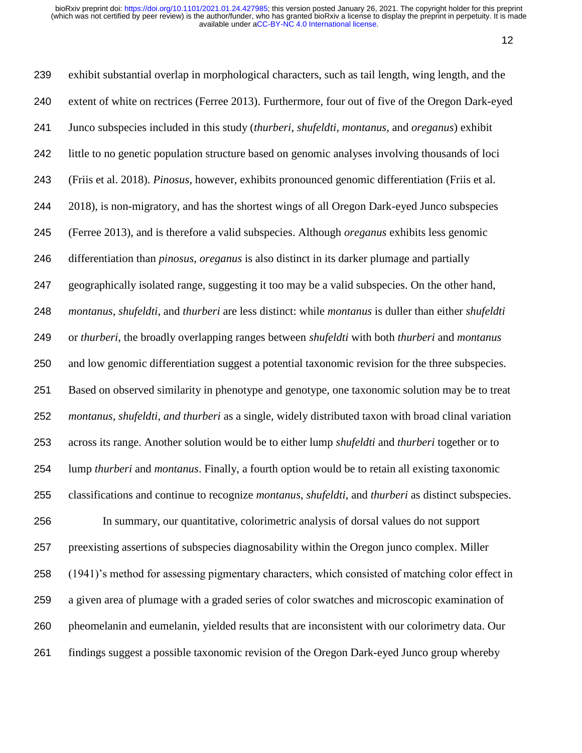exhibit substantial overlap in morphological characters, such as tail length, wing length, and the extent of white on rectrices (Ferree 2013). Furthermore, four out of five of the Oregon Dark-eyed Junco subspecies included in this study (*thurberi*, *shufeldti*, *montanus*, and *oreganus*) exhibit little to no genetic population structure based on genomic analyses involving thousands of loci (Friis et al. 2018). *Pinosus*, however, exhibits pronounced genomic differentiation (Friis et al. 2018), is non-migratory, and has the shortest wings of all Oregon Dark-eyed Junco subspecies (Ferree 2013), and is therefore a valid subspecies. Although *oreganus* exhibits less genomic differentiation than *pinosus*, *oreganus* is also distinct in its darker plumage and partially geographically isolated range, suggesting it too may be a valid subspecies. On the other hand, *montanus*, *shufeldti*, and *thurberi* are less distinct: while *montanus* is duller than either *shufeldti*  or *thurberi*, the broadly overlapping ranges between *shufeldti* with both *thurberi* and *montanus*  and low genomic differentiation suggest a potential taxonomic revision for the three subspecies. Based on observed similarity in phenotype and genotype, one taxonomic solution may be to treat *montanus, shufeldti, and thurberi* as a single, widely distributed taxon with broad clinal variation across its range. Another solution would be to either lump *shufeldti* and *thurberi* together or to lump *thurberi* and *montanus*. Finally, a fourth option would be to retain all existing taxonomic classifications and continue to recognize *montanus, shufeldti*, and *thurberi* as distinct subspecies. In summary, our quantitative, colorimetric analysis of dorsal values do not support preexisting assertions of subspecies diagnosability within the Oregon junco complex. Miller (1941)'s method for assessing pigmentary characters, which consisted of matching color effect in a given area of plumage with a graded series of color swatches and microscopic examination of pheomelanin and eumelanin, yielded results that are inconsistent with our colorimetry data. Our findings suggest a possible taxonomic revision of the Oregon Dark-eyed Junco group whereby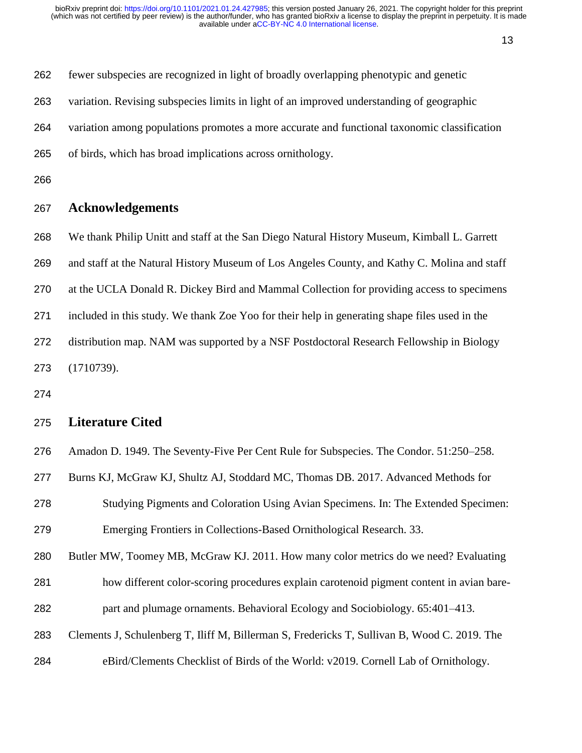| 262 | fewer subspecies are recognized in light of broadly overlapping phenotypic and genetic        |
|-----|-----------------------------------------------------------------------------------------------|
| 263 | variation. Revising subspecies limits in light of an improved understanding of geographic     |
| 264 | variation among populations promotes a more accurate and functional taxonomic classification  |
| 265 | of birds, which has broad implications across ornithology.                                    |
| 266 |                                                                                               |
| 267 | <b>Acknowledgements</b>                                                                       |
| 268 | We thank Philip Unitt and staff at the San Diego Natural History Museum, Kimball L. Garrett   |
| 269 | and staff at the Natural History Museum of Los Angeles County, and Kathy C. Molina and staff  |
| 270 | at the UCLA Donald R. Dickey Bird and Mammal Collection for providing access to specimens     |
| 271 | included in this study. We thank Zoe Yoo for their help in generating shape files used in the |
| 272 | distribution map. NAM was supported by a NSF Postdoctoral Research Fellowship in Biology      |
| 273 | (1710739).                                                                                    |
|     |                                                                                               |

# **Literature Cited**

| 276 |  |  | Amadon D. 1949. The Seventy-Five Per Cent Rule for Subspecies. The Condor. 51:250–258. |  |  |  |  |  |  |  |
|-----|--|--|----------------------------------------------------------------------------------------|--|--|--|--|--|--|--|
|-----|--|--|----------------------------------------------------------------------------------------|--|--|--|--|--|--|--|

- Burns KJ, McGraw KJ, Shultz AJ, Stoddard MC, Thomas DB. 2017. Advanced Methods for
- Studying Pigments and Coloration Using Avian Specimens. In: The Extended Specimen: Emerging Frontiers in Collections-Based Ornithological Research. 33.
- Butler MW, Toomey MB, McGraw KJ. 2011. How many color metrics do we need? Evaluating
- how different color-scoring procedures explain carotenoid pigment content in avian bare-part and plumage ornaments. Behavioral Ecology and Sociobiology. 65:401–413.
- Clements J, Schulenberg T, Iliff M, Billerman S, Fredericks T, Sullivan B, Wood C. 2019. The
- eBird/Clements Checklist of Birds of the World: v2019. Cornell Lab of Ornithology.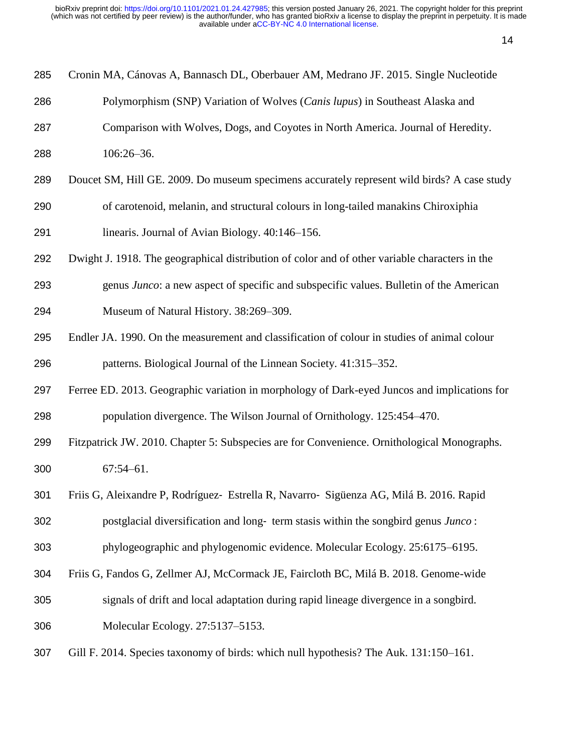| 285 | Cronin MA, Cánovas A, Bannasch DL, Oberbauer AM, Medrano JF. 2015. Single Nucleotide           |  |  |  |  |  |
|-----|------------------------------------------------------------------------------------------------|--|--|--|--|--|
| 286 | Polymorphism (SNP) Variation of Wolves (Canis lupus) in Southeast Alaska and                   |  |  |  |  |  |
| 287 | Comparison with Wolves, Dogs, and Coyotes in North America. Journal of Heredity.               |  |  |  |  |  |
| 288 | $106:26 - 36.$                                                                                 |  |  |  |  |  |
| 289 | Doucet SM, Hill GE. 2009. Do museum specimens accurately represent wild birds? A case study    |  |  |  |  |  |
| 290 | of carotenoid, melanin, and structural colours in long-tailed manakins Chiroxiphia             |  |  |  |  |  |
| 291 | linearis. Journal of Avian Biology. 40:146-156.                                                |  |  |  |  |  |
| 292 | Dwight J. 1918. The geographical distribution of color and of other variable characters in the |  |  |  |  |  |
| 293 | genus Junco: a new aspect of specific and subspecific values. Bulletin of the American         |  |  |  |  |  |
| 294 | Museum of Natural History. 38:269-309.                                                         |  |  |  |  |  |
| 295 | Endler JA. 1990. On the measurement and classification of colour in studies of animal colour   |  |  |  |  |  |
| 296 | patterns. Biological Journal of the Linnean Society. 41:315–352.                               |  |  |  |  |  |
| 297 | Ferree ED. 2013. Geographic variation in morphology of Dark-eyed Juncos and implications for   |  |  |  |  |  |
| 298 | population divergence. The Wilson Journal of Ornithology. 125:454–470.                         |  |  |  |  |  |
| 299 | Fitzpatrick JW. 2010. Chapter 5: Subspecies are for Convenience. Ornithological Monographs.    |  |  |  |  |  |
| 300 | $67:54 - 61.$                                                                                  |  |  |  |  |  |
| 301 | Friis G, Aleixandre P, Rodríguez- Estrella R, Navarro- Sigüenza AG, Milá B. 2016. Rapid        |  |  |  |  |  |
| 302 | postglacial diversification and long- term stasis within the songbird genus Junco:             |  |  |  |  |  |
| 303 | phylogeographic and phylogenomic evidence. Molecular Ecology. 25:6175–6195.                    |  |  |  |  |  |
| 304 | Friis G, Fandos G, Zellmer AJ, McCormack JE, Faircloth BC, Milá B. 2018. Genome-wide           |  |  |  |  |  |
| 305 | signals of drift and local adaptation during rapid lineage divergence in a songbird.           |  |  |  |  |  |
| 306 | Molecular Ecology. 27:5137-5153.                                                               |  |  |  |  |  |
| 307 | Gill F. 2014. Species taxonomy of birds: which null hypothesis? The Auk. 131:150-161.          |  |  |  |  |  |
|     |                                                                                                |  |  |  |  |  |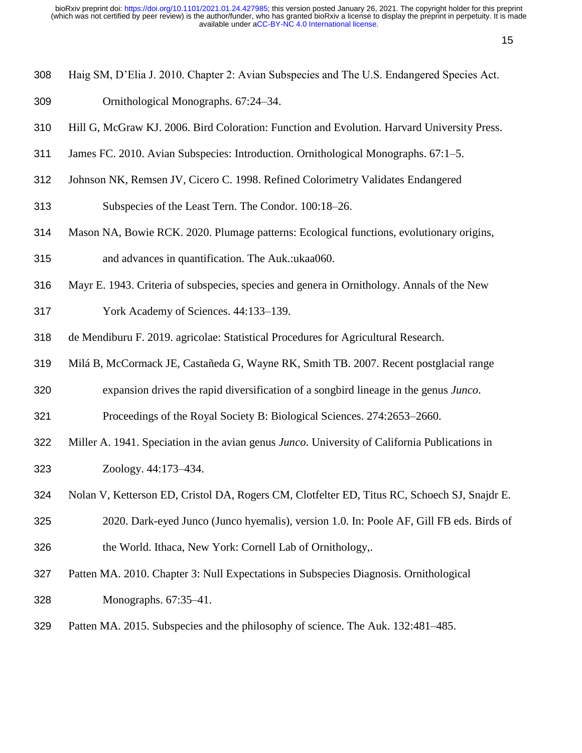- Haig SM, D'Elia J. 2010. Chapter 2: Avian Subspecies and The U.S. Endangered Species Act.
- Ornithological Monographs. 67:24–34.
- Hill G, McGraw KJ. 2006. Bird Coloration: Function and Evolution. Harvard University Press.
- James FC. 2010. Avian Subspecies: Introduction. Ornithological Monographs. 67:1–5.
- Johnson NK, Remsen JV, Cicero C. 1998. Refined Colorimetry Validates Endangered
- Subspecies of the Least Tern. The Condor. 100:18–26.
- Mason NA, Bowie RCK. 2020. Plumage patterns: Ecological functions, evolutionary origins,
- and advances in quantification. The Auk.:ukaa060.
- Mayr E. 1943. Criteria of subspecies, species and genera in Ornithology. Annals of the New
- York Academy of Sciences. 44:133–139.
- de Mendiburu F. 2019. agricolae: Statistical Procedures for Agricultural Research.
- Milá B, McCormack JE, Castañeda G, Wayne RK, Smith TB. 2007. Recent postglacial range
- expansion drives the rapid diversification of a songbird lineage in the genus *Junco*.
- Proceedings of the Royal Society B: Biological Sciences. 274:2653–2660.
- Miller A. 1941. Speciation in the avian genus *Junco*. University of California Publications in Zoology. 44:173–434.
- Nolan V, Ketterson ED, Cristol DA, Rogers CM, Clotfelter ED, Titus RC, Schoech SJ, Snajdr E.
- 2020. Dark-eyed Junco (Junco hyemalis), version 1.0. In: Poole AF, Gill FB eds. Birds of the World. Ithaca, New York: Cornell Lab of Ornithology,.
- Patten MA. 2010. Chapter 3: Null Expectations in Subspecies Diagnosis. Ornithological Monographs. 67:35–41.
- Patten MA. 2015. Subspecies and the philosophy of science. The Auk. 132:481–485.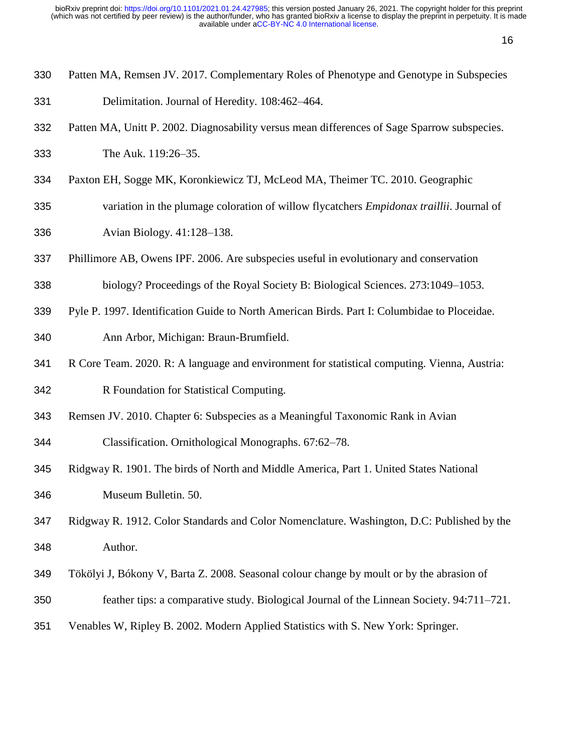- Patten MA, Remsen JV. 2017. Complementary Roles of Phenotype and Genotype in Subspecies Delimitation. Journal of Heredity. 108:462–464.
- Patten MA, Unitt P. 2002. Diagnosability versus mean differences of Sage Sparrow subspecies.
- The Auk. 119:26–35.
- Paxton EH, Sogge MK, Koronkiewicz TJ, McLeod MA, Theimer TC. 2010. Geographic
- variation in the plumage coloration of willow flycatchers *Empidonax traillii*. Journal of Avian Biology. 41:128–138.
- Phillimore AB, Owens IPF. 2006. Are subspecies useful in evolutionary and conservation
- biology? Proceedings of the Royal Society B: Biological Sciences. 273:1049–1053.
- Pyle P. 1997. Identification Guide to North American Birds. Part I: Columbidae to Ploceidae. Ann Arbor, Michigan: Braun-Brumfield.
- R Core Team. 2020. R: A language and environment for statistical computing. Vienna, Austria:
- R Foundation for Statistical Computing.
- Remsen JV. 2010. Chapter 6: Subspecies as a Meaningful Taxonomic Rank in Avian
- Classification. Ornithological Monographs. 67:62–78.
- Ridgway R. 1901. The birds of North and Middle America, Part 1. United States National Museum Bulletin. 50.
- Ridgway R. 1912. Color Standards and Color Nomenclature. Washington, D.C: Published by the Author.
- Tökölyi J, Bókony V, Barta Z. 2008. Seasonal colour change by moult or by the abrasion of
- feather tips: a comparative study. Biological Journal of the Linnean Society. 94:711–721.
- Venables W, Ripley B. 2002. Modern Applied Statistics with S. New York: Springer.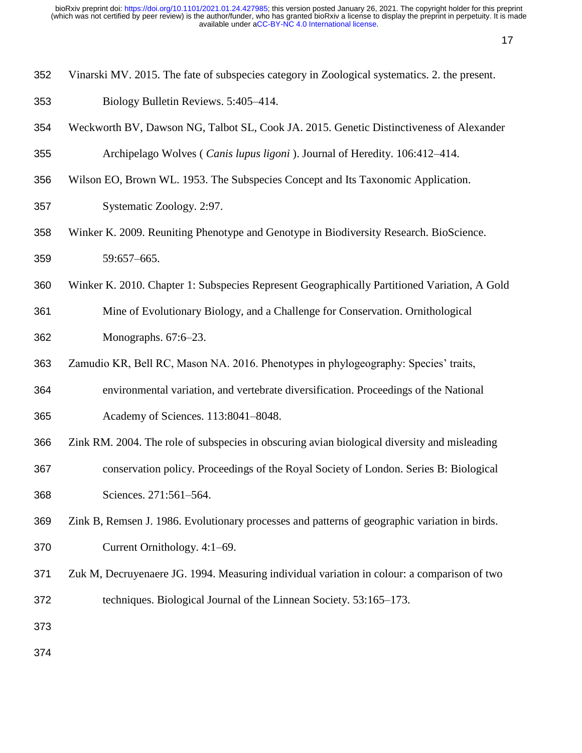- Vinarski MV. 2015. The fate of subspecies category in Zoological systematics. 2. the present.
- Biology Bulletin Reviews. 5:405–414.
- Weckworth BV, Dawson NG, Talbot SL, Cook JA. 2015. Genetic Distinctiveness of Alexander Archipelago Wolves ( *Canis lupus ligoni* ). Journal of Heredity. 106:412–414.
- Wilson EO, Brown WL. 1953. The Subspecies Concept and Its Taxonomic Application.
- Systematic Zoology. 2:97.
- Winker K. 2009. Reuniting Phenotype and Genotype in Biodiversity Research. BioScience. 59:657–665.
- Winker K. 2010. Chapter 1: Subspecies Represent Geographically Partitioned Variation, A Gold
- Mine of Evolutionary Biology, and a Challenge for Conservation. Ornithological Monographs. 67:6–23.
- Zamudio KR, Bell RC, Mason NA. 2016. Phenotypes in phylogeography: Species' traits,
- environmental variation, and vertebrate diversification. Proceedings of the National Academy of Sciences. 113:8041–8048.
- Zink RM. 2004. The role of subspecies in obscuring avian biological diversity and misleading conservation policy. Proceedings of the Royal Society of London. Series B: Biological Sciences. 271:561–564.
- Zink B, Remsen J. 1986. Evolutionary processes and patterns of geographic variation in birds. Current Ornithology. 4:1–69.
- Zuk M, Decruyenaere JG. 1994. Measuring individual variation in colour: a comparison of two techniques. Biological Journal of the Linnean Society. 53:165–173.
- 
-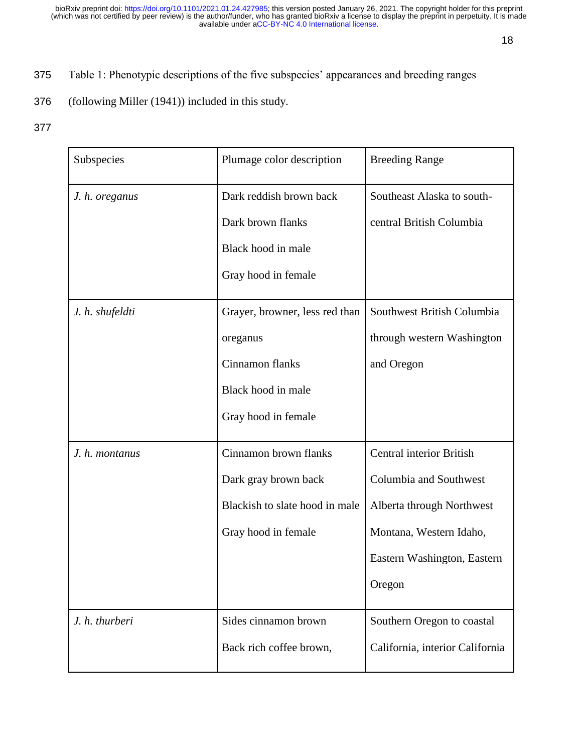- 375 Table 1: Phenotypic descriptions of the five subspecies' appearances and breeding ranges
- 376 (following Miller [\(1941\)\)](https://www.zotero.org/google-docs/?a9d3js) included in this study.
- 377

| Subspecies      | Plumage color description      | <b>Breeding Range</b>           |  |
|-----------------|--------------------------------|---------------------------------|--|
| J. h. oreganus  | Dark reddish brown back        | Southeast Alaska to south-      |  |
|                 | Dark brown flanks              | central British Columbia        |  |
|                 | Black hood in male             |                                 |  |
|                 | Gray hood in female            |                                 |  |
| J. h. shufeldti | Grayer, browner, less red than | Southwest British Columbia      |  |
|                 | oreganus                       | through western Washington      |  |
|                 | Cinnamon flanks                | and Oregon                      |  |
|                 | Black hood in male             |                                 |  |
|                 | Gray hood in female            |                                 |  |
| J. h. montanus  | Cinnamon brown flanks          | <b>Central interior British</b> |  |
|                 | Dark gray brown back           | Columbia and Southwest          |  |
|                 | Blackish to slate hood in male | Alberta through Northwest       |  |
|                 | Gray hood in female            | Montana, Western Idaho,         |  |
|                 |                                | Eastern Washington, Eastern     |  |
|                 |                                | Oregon                          |  |
| J. h. thurberi  | Sides cinnamon brown           | Southern Oregon to coastal      |  |
|                 | Back rich coffee brown,        | California, interior California |  |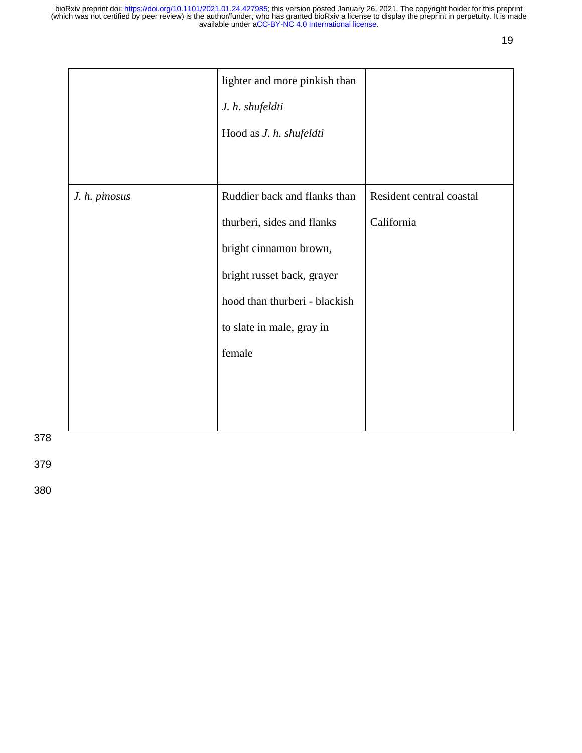|               | lighter and more pinkish than<br>J. h. shufeldti<br>Hood as J. h. shufeldti                                                                                                                |                                        |
|---------------|--------------------------------------------------------------------------------------------------------------------------------------------------------------------------------------------|----------------------------------------|
| J. h. pinosus | Ruddier back and flanks than<br>thurberi, sides and flanks<br>bright cinnamon brown,<br>bright russet back, grayer<br>hood than thurberi - blackish<br>to slate in male, gray in<br>female | Resident central coastal<br>California |

378

379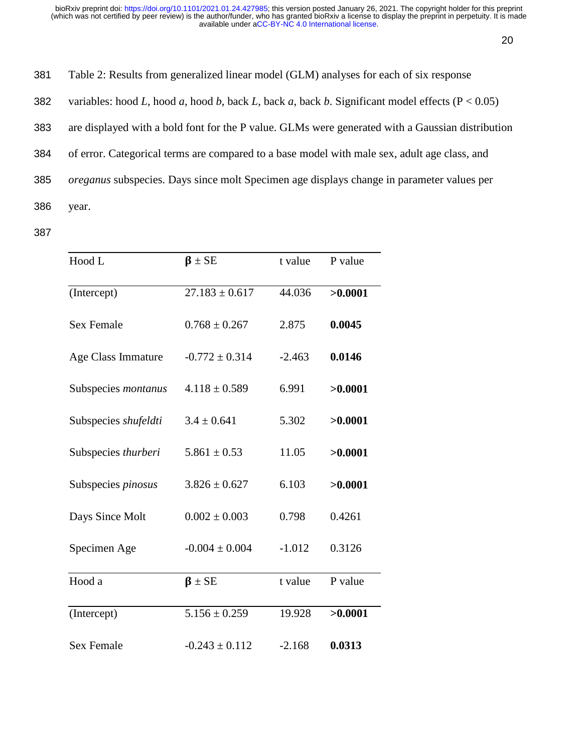20

| 381 | Table 2: Results from generalized linear model (GLM) analyses for each of six response              |
|-----|-----------------------------------------------------------------------------------------------------|
| 382 | variables: hood L, hood a, hood b, back L, back a, back b. Significant model effects ( $P < 0.05$ ) |
| 383 | are displayed with a bold font for the P value. GLMs were generated with a Gaussian distribution    |
| 384 | of error. Categorical terms are compared to a base model with male sex, adult age class, and        |
| 385 | <i>oreganus</i> subspecies. Days since molt Specimen age displays change in parameter values per    |
| 386 | year.                                                                                               |

| Hood L                     | $\beta \pm SE$     | t value  | P value |
|----------------------------|--------------------|----------|---------|
| (Intercept)                | $27.183 \pm 0.617$ | 44.036   | >0.0001 |
| <b>Sex Female</b>          | $0.768 \pm 0.267$  | 2.875    | 0.0045  |
| Age Class Immature         | $-0.772 \pm 0.314$ | $-2.463$ | 0.0146  |
| Subspecies <i>montanus</i> | $4.118 \pm 0.589$  | 6.991    | >0.0001 |
| Subspecies shufeldti       | $3.4 \pm 0.641$    | 5.302    | >0.0001 |
| Subspecies thurberi        | $5.861 \pm 0.53$   | 11.05    | >0.0001 |
| Subspecies <i>pinosus</i>  | $3.826 \pm 0.627$  | 6.103    | >0.0001 |
| Days Since Molt            | $0.002 \pm 0.003$  | 0.798    | 0.4261  |
| Specimen Age               | $-0.004 \pm 0.004$ | $-1.012$ | 0.3126  |
| Hood a                     | $\beta \pm SE$     | t value  | P value |
| (Intercept)                | $5.156 \pm 0.259$  | 19.928   | >0.0001 |
| <b>Sex Female</b>          | $-0.243 \pm 0.112$ | $-2.168$ | 0.0313  |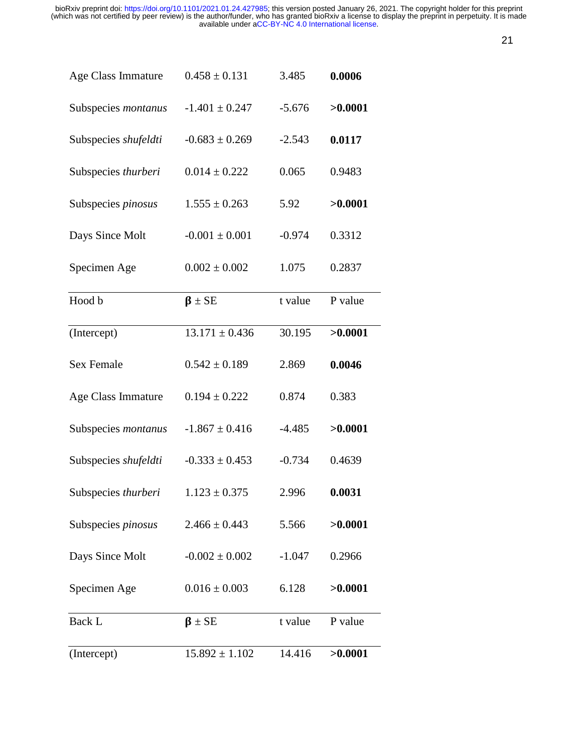| Age Class Immature   | $0.458 \pm 0.131$  | 3.485    | 0.0006  |
|----------------------|--------------------|----------|---------|
| Subspecies montanus  | $-1.401 \pm 0.247$ | $-5.676$ | >0.0001 |
| Subspecies shufeldti | $-0.683 \pm 0.269$ | $-2.543$ | 0.0117  |
| Subspecies thurberi  | $0.014 \pm 0.222$  | 0.065    | 0.9483  |
| Subspecies pinosus   | $1.555 \pm 0.263$  | 5.92     | >0.0001 |
| Days Since Molt      | $-0.001 \pm 0.001$ | $-0.974$ | 0.3312  |
| Specimen Age         | $0.002 \pm 0.002$  | 1.075    | 0.2837  |
| Hood b               | $\beta \pm SE$     | t value  | P value |
| (Intercept)          | $13.171 \pm 0.436$ | 30.195   | >0.0001 |
| <b>Sex Female</b>    | $0.542 \pm 0.189$  | 2.869    | 0.0046  |
| Age Class Immature   | $0.194 \pm 0.222$  | 0.874    | 0.383   |
| Subspecies montanus  | $-1.867 \pm 0.416$ | $-4.485$ | >0.0001 |
| Subspecies shufeldti | $-0.333 \pm 0.453$ | $-0.734$ | 0.4639  |
| Subspecies thurberi  | $1.123 \pm 0.375$  | 2.996    | 0.0031  |
| Subspecies pinosus   | $2.466 \pm 0.443$  | 5.566    | >0.0001 |
| Days Since Molt      | $-0.002 \pm 0.002$ | $-1.047$ | 0.2966  |
| Specimen Age         | $0.016 \pm 0.003$  | 6.128    | >0.0001 |
| Back L               | $\beta \pm SE$     | t value  | P value |
| (Intercept)          | $15.892 \pm 1.102$ | 14.416   | >0.0001 |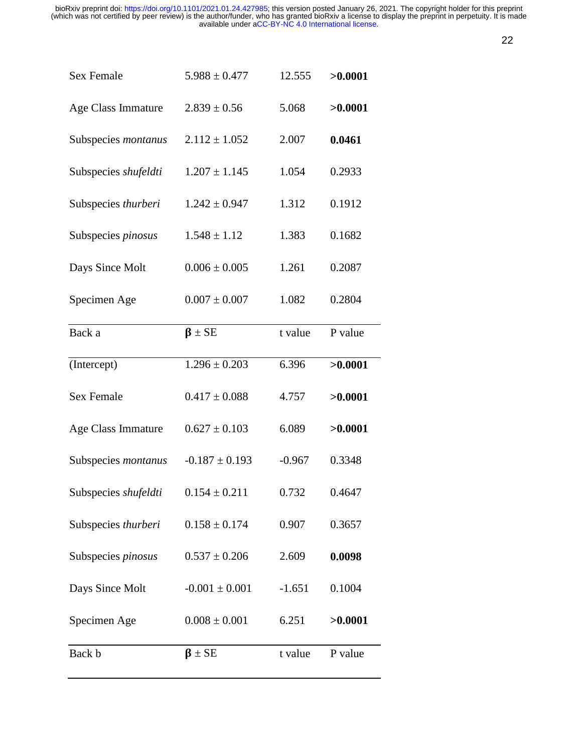| . . |
|-----|
|     |

| <b>Sex Female</b>    | $5.988 \pm 0.477$  | 12.555   | >0.0001 |
|----------------------|--------------------|----------|---------|
| Age Class Immature   | $2.839 \pm 0.56$   | 5.068    | >0.0001 |
| Subspecies montanus  | $2.112 \pm 1.052$  | 2.007    | 0.0461  |
| Subspecies shufeldti | $1.207 \pm 1.145$  | 1.054    | 0.2933  |
| Subspecies thurberi  | $1.242 \pm 0.947$  | 1.312    | 0.1912  |
| Subspecies pinosus   | $1.548 \pm 1.12$   | 1.383    | 0.1682  |
| Days Since Molt      | $0.006 \pm 0.005$  | 1.261    | 0.2087  |
| Specimen Age         | $0.007 \pm 0.007$  | 1.082    | 0.2804  |
| Back a               | $\beta \pm SE$     | t value  | P value |
| (Intercept)          | $1.296 \pm 0.203$  | 6.396    | >0.0001 |
| <b>Sex Female</b>    | $0.417 \pm 0.088$  | 4.757    | >0.0001 |
| Age Class Immature   | $0.627 \pm 0.103$  | 6.089    | >0.0001 |
| Subspecies montanus  | $-0.187 \pm 0.193$ | $-0.967$ | 0.3348  |
| Subspecies shufeldti | $0.154 \pm 0.211$  | 0.732    | 0.4647  |
| Subspecies thurberi  | $0.158 \pm 0.174$  | 0.907    | 0.3657  |
| Subspecies pinosus   | $0.537 \pm 0.206$  | 2.609    | 0.0098  |
| Days Since Molt      | $-0.001 \pm 0.001$ | $-1.651$ | 0.1004  |
| Specimen Age         | $0.008 \pm 0.001$  | 6.251    | >0.0001 |
|                      |                    |          |         |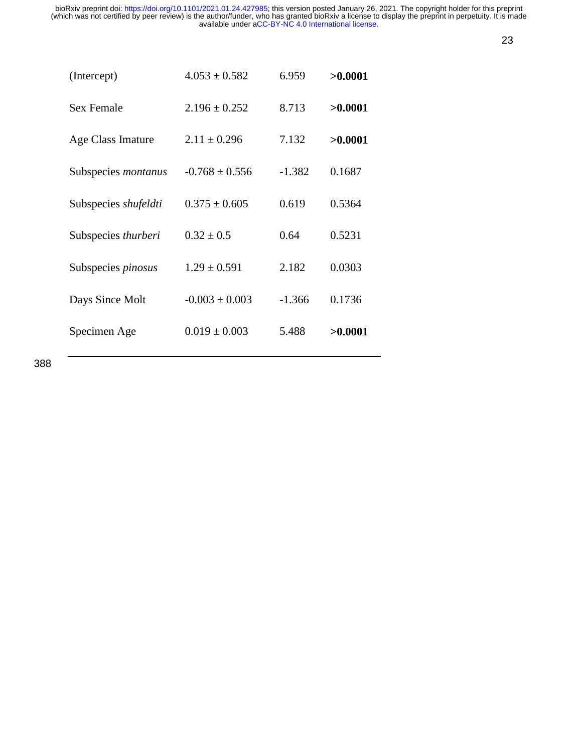23

| (Intercept)                | $4.053 \pm 0.582$  | 6.959    | >0.0001 |
|----------------------------|--------------------|----------|---------|
| <b>Sex Female</b>          | $2.196 \pm 0.252$  | 8.713    | >0.0001 |
| Age Class Imature          | $2.11 \pm 0.296$   | 7.132    | >0.0001 |
| Subspecies <i>montanus</i> | $-0.768 \pm 0.556$ | $-1.382$ | 0.1687  |
| Subspecies shufeldti       | $0.375 \pm 0.605$  | 0.619    | 0.5364  |
| Subspecies <i>thurberi</i> | $0.32 \pm 0.5$     | 0.64     | 0.5231  |
| Subspecies <i>pinosus</i>  | $1.29 \pm 0.591$   | 2.182    | 0.0303  |
| Days Since Molt            | $-0.003 \pm 0.003$ | $-1.366$ | 0.1736  |
| Specimen Age               | $0.019 \pm 0.003$  | 5.488    | >0.0001 |
|                            |                    |          |         |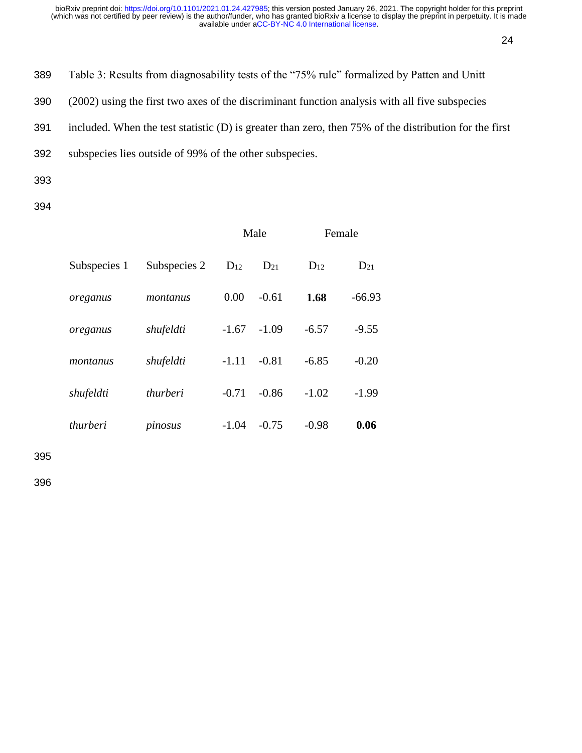24

389 Table 3: Results from diagnosability tests of the "75% rule" formalized by Patten and Unitt

390 (2002) using the first two axes of the discriminant function analysis with all five subspecies

391 included. When the test statistic (D) is greater than zero, then 75% of the distribution for the first

392 subspecies lies outside of 99% of the other subspecies.

- 393
- 394

|              |              |          | Male     |          | Female   |
|--------------|--------------|----------|----------|----------|----------|
| Subspecies 1 | Subspecies 2 | $D_{12}$ | $D_{21}$ | $D_{12}$ | $D_{21}$ |
| oreganus     | montanus     | 0.00     | $-0.61$  | 1.68     | $-66.93$ |
| oreganus     | shufeldti    | $-1.67$  | $-1.09$  | $-6.57$  | $-9.55$  |
| montanus     | shufeldti    | $-1.11$  | $-0.81$  | $-6.85$  | $-0.20$  |
| shufeldti    | thurberi     | $-0.71$  | $-0.86$  | $-1.02$  | $-1.99$  |
| thurberi     | pinosus      | $-1.04$  | $-0.75$  | $-0.98$  | 0.06     |

395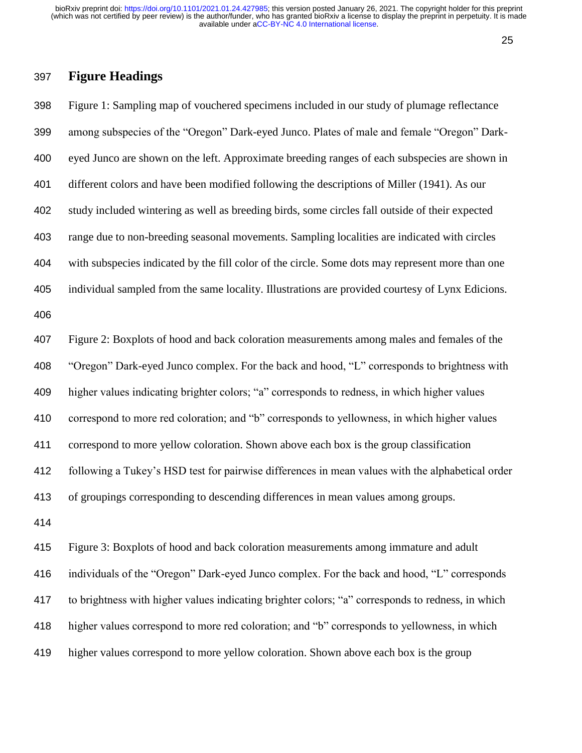#### 

## **Figure Headings**

 Figure 1: Sampling map of vouchered specimens included in our study of plumage reflectance among subspecies of the "Oregon" Dark-eyed Junco. Plates of male and female "Oregon" Dark- eyed Junco are shown on the left. Approximate breeding ranges of each subspecies are shown in different colors and have been modified following the descriptions of Miller (1941). As our study included wintering as well as breeding birds, some circles fall outside of their expected range due to non-breeding seasonal movements. Sampling localities are indicated with circles with subspecies indicated by the fill color of the circle. Some dots may represent more than one individual sampled from the same locality. Illustrations are provided courtesy of Lynx Edicions. Figure 2: Boxplots of hood and back coloration measurements among males and females of the "Oregon" Dark-eyed Junco complex. For the back and hood, "L" corresponds to brightness with higher values indicating brighter colors; "a" corresponds to redness, in which higher values correspond to more red coloration; and "b" corresponds to yellowness, in which higher values correspond to more yellow coloration. Shown above each box is the group classification following a Tukey's HSD test for pairwise differences in mean values with the alphabetical order of groupings corresponding to descending differences in mean values among groups. Figure 3: Boxplots of hood and back coloration measurements among immature and adult

 individuals of the "Oregon" Dark-eyed Junco complex. For the back and hood, "L" corresponds to brightness with higher values indicating brighter colors; "a" corresponds to redness, in which higher values correspond to more red coloration; and "b" corresponds to yellowness, in which higher values correspond to more yellow coloration. Shown above each box is the group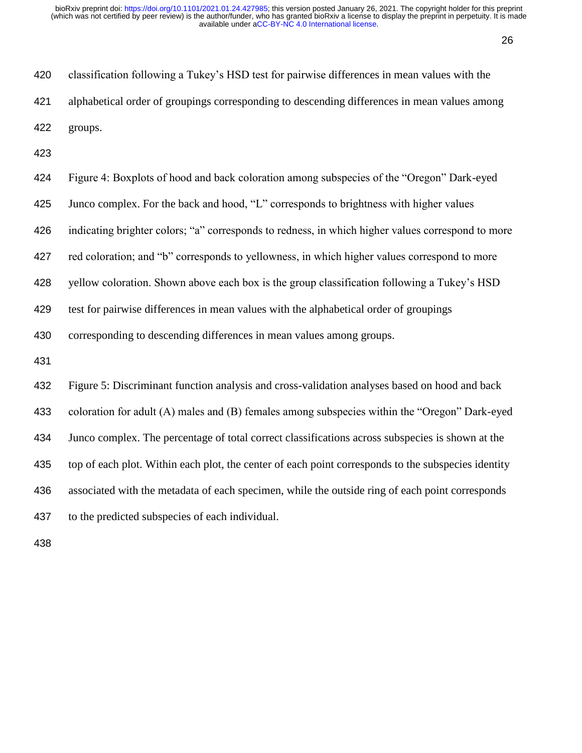| 420 | classification following a Tukey's HSD test for pairwise differences in mean values with the |
|-----|----------------------------------------------------------------------------------------------|
| 421 | alphabetical order of groupings corresponding to descending differences in mean values among |
| 422 | groups.                                                                                      |

| 424 | Figure 4: Boxplots of hood and back coloration among subspecies of the "Oregon" Dark-eyed           |
|-----|-----------------------------------------------------------------------------------------------------|
| 425 | Junco complex. For the back and hood, "L" corresponds to brightness with higher values              |
| 426 | indicating brighter colors; "a" corresponds to redness, in which higher values correspond to more   |
| 427 | red coloration; and "b" corresponds to yellowness, in which higher values correspond to more        |
| 428 | yellow coloration. Shown above each box is the group classification following a Tukey's HSD         |
| 429 | test for pairwise differences in mean values with the alphabetical order of groupings               |
| 430 | corresponding to descending differences in mean values among groups.                                |
| 431 |                                                                                                     |
| 432 | Figure 5: Discriminant function analysis and cross-validation analyses based on hood and back       |
| 433 | coloration for adult (A) males and (B) females among subspecies within the "Oregon" Dark-eyed       |
| 434 | Junco complex. The percentage of total correct classifications across subspecies is shown at the    |
| 435 | top of each plot. Within each plot, the center of each point corresponds to the subspecies identity |
| 436 | associated with the metadata of each specimen, while the outside ring of each point corresponds     |
| 437 | to the predicted subspecies of each individual.                                                     |
|     |                                                                                                     |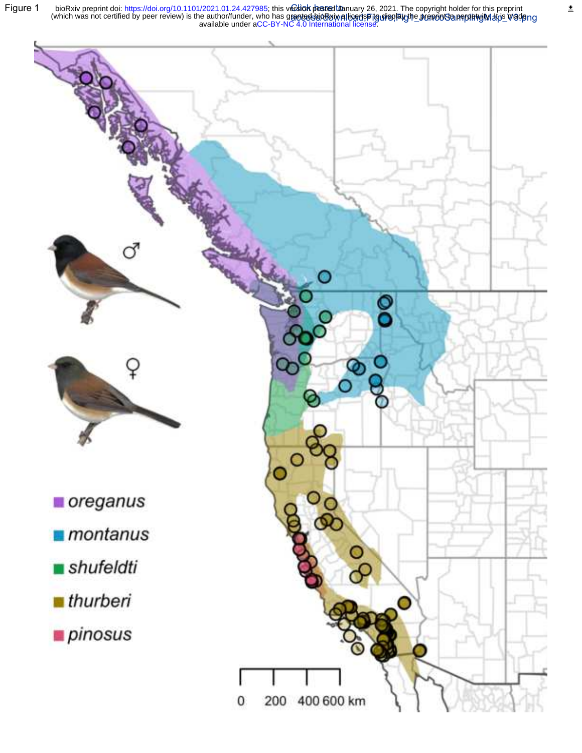Figure 1 bioRxiv preprint doi: https://doi.org/10.1101/2021.01.24.427985; this ved ich posted to ie author/funder, who has grantedJajpRawallioedspTiguliap,laythe\_prenciotSlanephet⊌iMalpis\_wadeng<br>available under [aCC-BY-NC 4.0 International license.](http://creativecommons.org/licenses/by-nc/4.0/) (which was not certified by peer review) is the author/funder, who has granted bioRxiv alloense ito display the preprint in preprint in this made bioRxiv preprint doi: [https://doi.org/10.1101/2021.01.24.427985;](https://doi.org/10.1101/2021.01.24.427985) this v**ersiok posted lua**nuary 26, 2021. The copyright holder for this preprint



 $\overline{\underline{\star}}$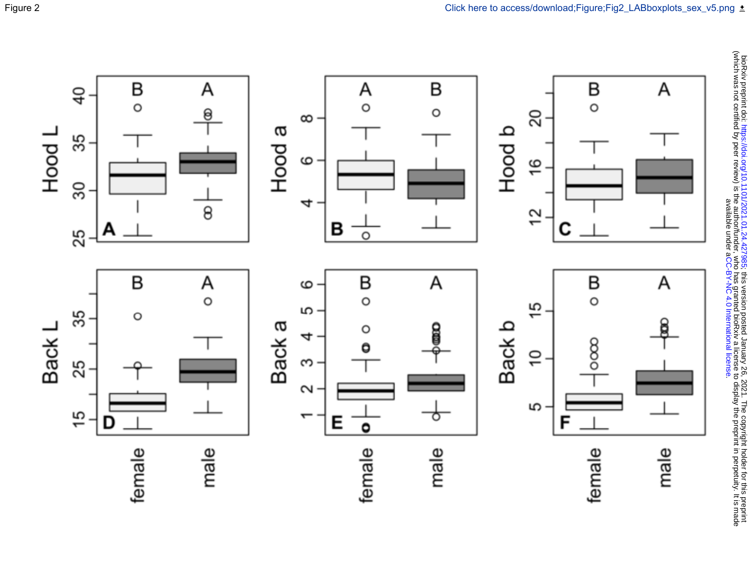

bioRxiv preprint doi: https://doi.org/10.1101/2021.01.24.427985; this version posted January 26, 2021. The copyright holder for this preprint<br>(which was not certified by peer review) is the author/funder, who has granted b (which was not certified by peer review) is the author/funder, who has granted bioRxiv a license to display the preprint in perpetuity. It is made Dick this preprint this preprint this prepriet is this prepriet of this version posted January 26, 2021. The copyright holder for this preprint to this preprint for this preprint is definited in this preprint. . [CC-BY-NC 4.0 International license](http://creativecommons.org/licenses/by-nc/4.0/) available under a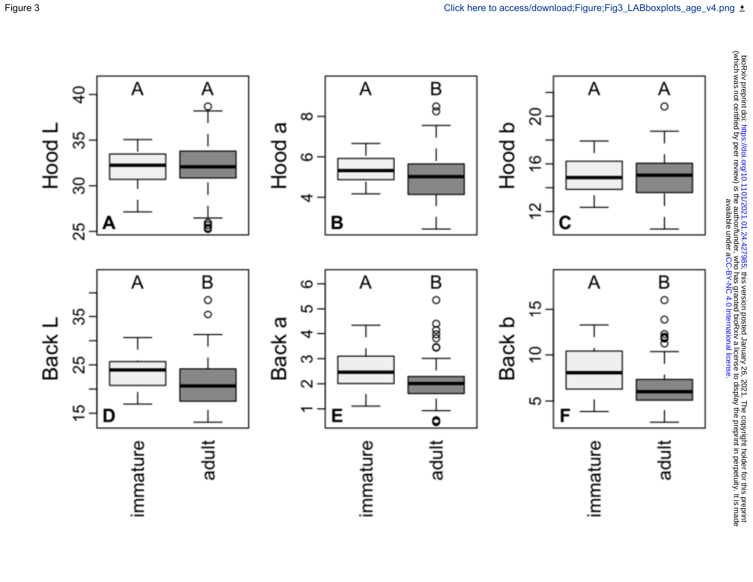

bioRxiv preprint doi: https://doi.org/10.1101/2021.01.24.427985; this version posted January 26, 2021. The copyright holder for this preprint<br>(which was not certified by peer review) is the author/funder, who has granted b (which was not certified by peer review) is the author/funder, who has granted bioRxiv a license to display the preprint in perpetuity. It is made Dick this preprint this preprint this prepriet is this prepriet of this version posted January 26, 2021. The copyright holder for this preprint to this preprint for this preprint is definited in this preprint. . [CC-BY-NC 4.0 International license](http://creativecommons.org/licenses/by-nc/4.0/) available under a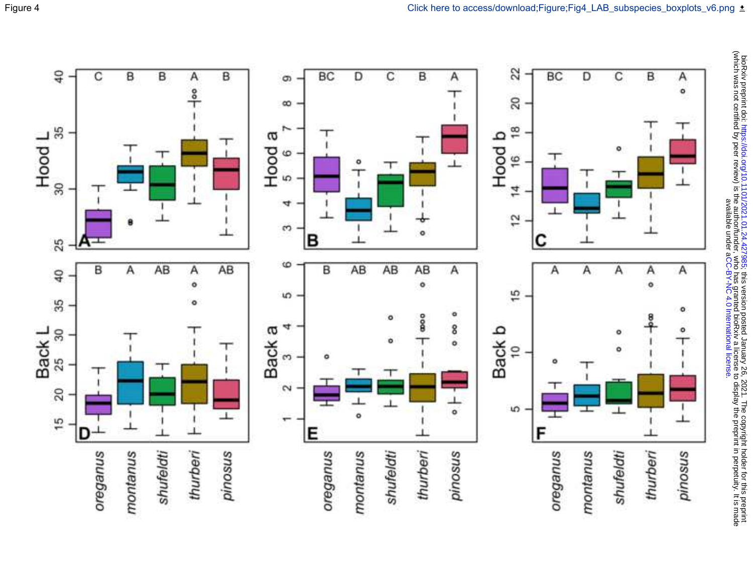

bioRxiv preprint doi: https://doi.org/10.1101/2021.01.24.427985; this version posted January 26, 2021. The copyright holder for this preprint<br>(which was not certified by peer review) is the author/funder, who has granted b (which was not certified by peer review) is the author/funder, who has granted bioRxiv a license to display the preprint in perpetuity. It is made Dick this preprint this preprint this prepriet is this prepriet of this version posted January 26, 2021. The copyright holder for this preprint to this preprint for this preprint is definited in this preprint. . [CC-BY-NC 4.0 International license](http://creativecommons.org/licenses/by-nc/4.0/) available under a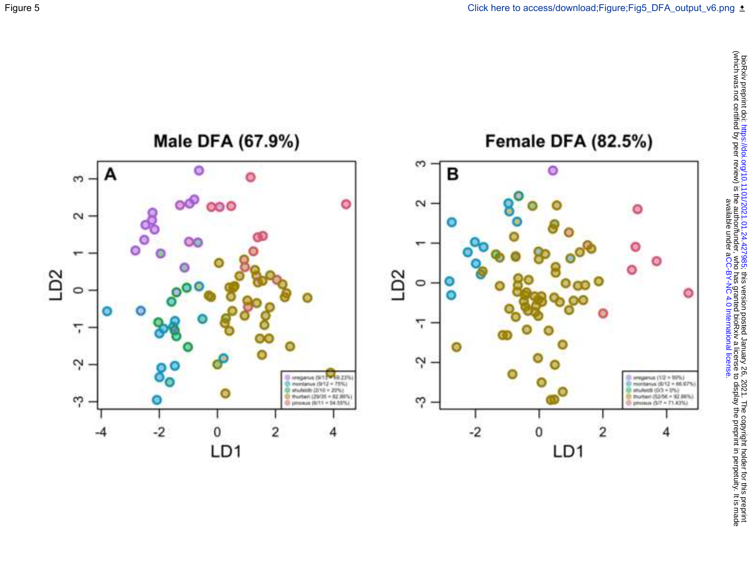